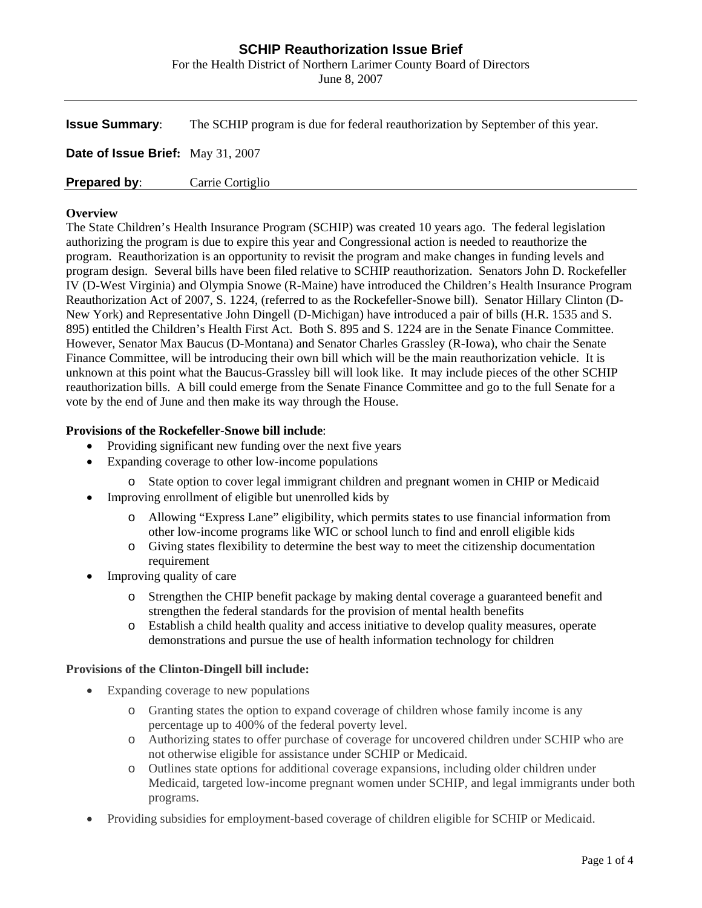# **SCHIP Reauthorization Issue Brief**

For the Health District of Northern Larimer County Board of Directors

June 8, 2007

| <b>Issue Summary:</b>             | The SCHIP program is due for federal reauthorization by September of this year. |
|-----------------------------------|---------------------------------------------------------------------------------|
| Date of Issue Brief: May 31, 2007 |                                                                                 |
| <b>Prepared by:</b>               | Carrie Cortiglio                                                                |

### **Overview**

The State Children's Health Insurance Program (SCHIP) was created 10 years ago. The federal legislation authorizing the program is due to expire this year and Congressional action is needed to reauthorize the program. Reauthorization is an opportunity to revisit the program and make changes in funding levels and program design. Several bills have been filed relative to SCHIP reauthorization. Senators John D. Rockefeller IV (D-West Virginia) and Olympia Snowe (R-Maine) have introduced the Children's Health Insurance Program Reauthorization Act of 2007, S. 1224, (referred to as the Rockefeller-Snowe bill). Senator Hillary Clinton (D-New York) and Representative John Dingell (D-Michigan) have introduced a pair of bills (H.R. 1535 and S. 895) entitled the Children's Health First Act. Both S. 895 and S. 1224 are in the Senate Finance Committee. However, Senator Max Baucus (D-Montana) and Senator Charles Grassley (R-Iowa), who chair the Senate Finance Committee, will be introducing their own bill which will be the main reauthorization vehicle. It is unknown at this point what the Baucus-Grassley bill will look like. It may include pieces of the other SCHIP reauthorization bills. A bill could emerge from the Senate Finance Committee and go to the full Senate for a vote by the end of June and then make its way through the House.

## **Provisions of the Rockefeller-Snowe bill include**:

- Providing significant new funding over the next five years
- Expanding coverage to other low-income populations
	- o State option to cover legal immigrant children and pregnant women in CHIP or Medicaid
- Improving enrollment of eligible but unenrolled kids by
	- Allowing "Express Lane" eligibility, which permits states to use financial information from other low-income programs like WIC or school lunch to find and enroll eligible kids
	- o Giving states flexibility to determine the best way to meet the citizenship documentation requirement
- Improving quality of care
	- o Strengthen the CHIP benefit package by making dental coverage a guaranteed benefit and strengthen the federal standards for the provision of mental health benefits
	- o Establish a child health quality and access initiative to develop quality measures, operate demonstrations and pursue the use of health information technology for children

## **Provisions of the Clinton-Dingell bill include:**

- Expanding coverage to new populations
	- o Granting states the option to expand coverage of children whose family income is any percentage up to 400% of the federal poverty level.
	- o Authorizing states to offer purchase of coverage for uncovered children under SCHIP who are not otherwise eligible for assistance under SCHIP or Medicaid.
	- o Outlines state options for additional coverage expansions, including older children under Medicaid, targeted low-income pregnant women under SCHIP, and legal immigrants under both programs.
- Providing subsidies for employment-based coverage of children eligible for SCHIP or Medicaid.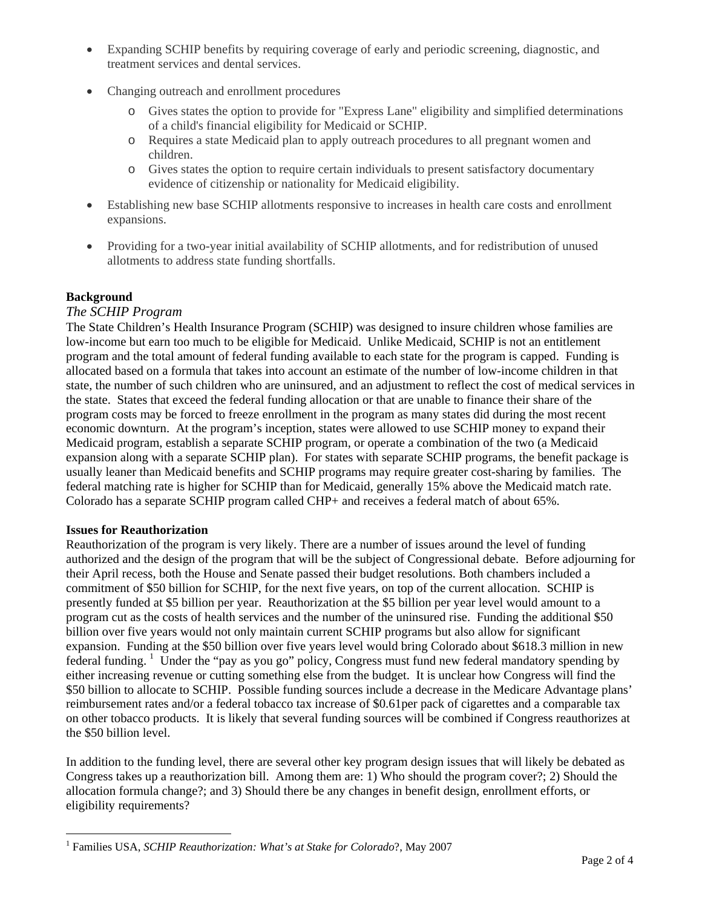- Expanding SCHIP benefits by requiring coverage of early and periodic screening, diagnostic, and treatment services and dental services.
- Changing outreach and enrollment procedures
	- o Gives states the option to provide for "Express Lane" eligibility and simplified determinations of a child's financial eligibility for Medicaid or SCHIP.
	- o Requires a state Medicaid plan to apply outreach procedures to all pregnant women and children.
	- o Gives states the option to require certain individuals to present satisfactory documentary evidence of citizenship or nationality for Medicaid eligibility.
- Establishing new base SCHIP allotments responsive to increases in health care costs and enrollment expansions.
- Providing for a two-year initial availability of SCHIP allotments, and for redistribution of unused allotments to address state funding shortfalls.

# **Background**

## *The SCHIP Program*

The State Children's Health Insurance Program (SCHIP) was designed to insure children whose families are low-income but earn too much to be eligible for Medicaid. Unlike Medicaid, SCHIP is not an entitlement program and the total amount of federal funding available to each state for the program is capped. Funding is allocated based on a formula that takes into account an estimate of the number of low-income children in that state, the number of such children who are uninsured, and an adjustment to reflect the cost of medical services in the state. States that exceed the federal funding allocation or that are unable to finance their share of the program costs may be forced to freeze enrollment in the program as many states did during the most recent economic downturn. At the program's inception, states were allowed to use SCHIP money to expand their Medicaid program, establish a separate SCHIP program, or operate a combination of the two (a Medicaid expansion along with a separate SCHIP plan). For states with separate SCHIP programs, the benefit package is usually leaner than Medicaid benefits and SCHIP programs may require greater cost-sharing by families. The federal matching rate is higher for SCHIP than for Medicaid, generally 15% above the Medicaid match rate. Colorado has a separate SCHIP program called CHP+ and receives a federal match of about 65%.

## **Issues for Reauthorization**

1

Reauthorization of the program is very likely. There are a number of issues around the level of funding authorized and the design of the program that will be the subject of Congressional debate. Before adjourning for their April recess, both the House and Senate passed their budget resolutions. Both chambers included a commitment of \$50 billion for SCHIP, for the next five years, on top of the current allocation. SCHIP is presently funded at \$5 billion per year. Reauthorization at the \$5 billion per year level would amount to a program cut as the costs of health services and the number of the uninsured rise. Funding the additional \$50 billion over five years would not only maintain current SCHIP programs but also allow for significant expansion. Funding at the \$50 billion over five years level would bring Colorado about \$618.3 million in new federal funding. <sup>[1](#page-1-0)</sup> Under the "pay as you go" policy, Congress must fund new federal mandatory spending by either increasing revenue or cutting something else from the budget. It is unclear how Congress will find the \$50 billion to allocate to SCHIP. Possible funding sources include a decrease in the Medicare Advantage plans' reimbursement rates and/or a federal tobacco tax increase of \$0.61per pack of cigarettes and a comparable tax on other tobacco products. It is likely that several funding sources will be combined if Congress reauthorizes at the \$50 billion level.

In addition to the funding level, there are several other key program design issues that will likely be debated as Congress takes up a reauthorization bill. Among them are: 1) Who should the program cover?; 2) Should the allocation formula change?; and 3) Should there be any changes in benefit design, enrollment efforts, or eligibility requirements?

<span id="page-1-0"></span><sup>1</sup> Families USA, *SCHIP Reauthorization: What's at Stake for Colorado*?, May 2007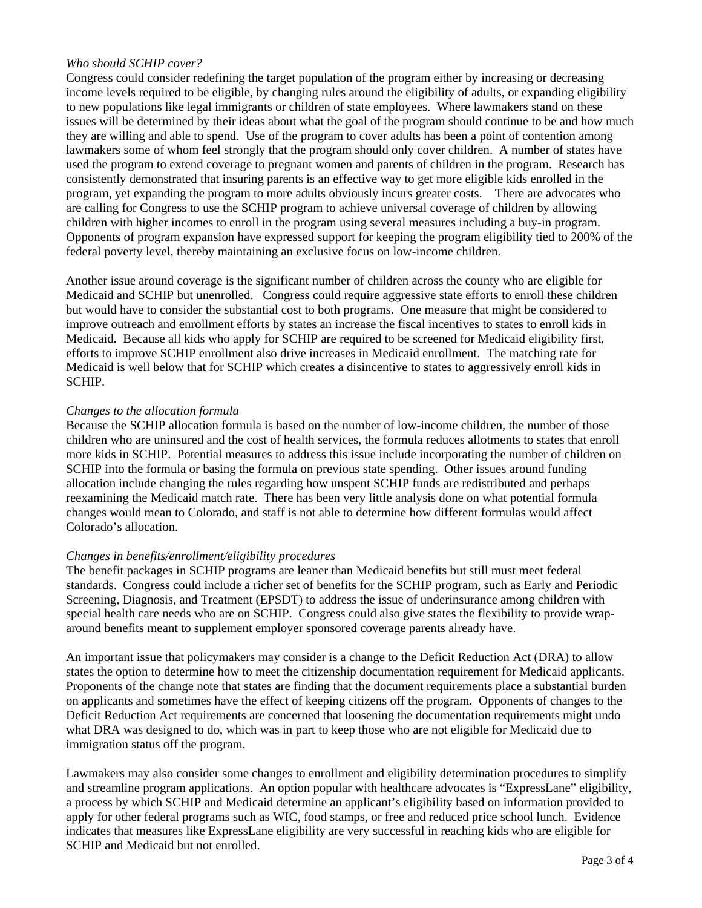## *Who should SCHIP cover?*

Congress could consider redefining the target population of the program either by increasing or decreasing income levels required to be eligible, by changing rules around the eligibility of adults, or expanding eligibility to new populations like legal immigrants or children of state employees. Where lawmakers stand on these issues will be determined by their ideas about what the goal of the program should continue to be and how much they are willing and able to spend. Use of the program to cover adults has been a point of contention among lawmakers some of whom feel strongly that the program should only cover children. A number of states have used the program to extend coverage to pregnant women and parents of children in the program. Research has consistently demonstrated that insuring parents is an effective way to get more eligible kids enrolled in the program, yet expanding the program to more adults obviously incurs greater costs. There are advocates who are calling for Congress to use the SCHIP program to achieve universal coverage of children by allowing children with higher incomes to enroll in the program using several measures including a buy-in program. Opponents of program expansion have expressed support for keeping the program eligibility tied to 200% of the federal poverty level, thereby maintaining an exclusive focus on low-income children.

Another issue around coverage is the significant number of children across the county who are eligible for Medicaid and SCHIP but unenrolled. Congress could require aggressive state efforts to enroll these children but would have to consider the substantial cost to both programs. One measure that might be considered to improve outreach and enrollment efforts by states an increase the fiscal incentives to states to enroll kids in Medicaid. Because all kids who apply for SCHIP are required to be screened for Medicaid eligibility first, efforts to improve SCHIP enrollment also drive increases in Medicaid enrollment. The matching rate for Medicaid is well below that for SCHIP which creates a disincentive to states to aggressively enroll kids in SCHIP.

## *Changes to the allocation formula*

Because the SCHIP allocation formula is based on the number of low-income children, the number of those children who are uninsured and the cost of health services, the formula reduces allotments to states that enroll more kids in SCHIP. Potential measures to address this issue include incorporating the number of children on SCHIP into the formula or basing the formula on previous state spending. Other issues around funding allocation include changing the rules regarding how unspent SCHIP funds are redistributed and perhaps reexamining the Medicaid match rate. There has been very little analysis done on what potential formula changes would mean to Colorado, and staff is not able to determine how different formulas would affect Colorado's allocation.

## *Changes in benefits/enrollment/eligibility procedures*

The benefit packages in SCHIP programs are leaner than Medicaid benefits but still must meet federal standards. Congress could include a richer set of benefits for the SCHIP program, such as Early and Periodic Screening, Diagnosis, and Treatment (EPSDT) to address the issue of underinsurance among children with special health care needs who are on SCHIP. Congress could also give states the flexibility to provide wraparound benefits meant to supplement employer sponsored coverage parents already have.

An important issue that policymakers may consider is a change to the Deficit Reduction Act (DRA) to allow states the option to determine how to meet the citizenship documentation requirement for Medicaid applicants. Proponents of the change note that states are finding that the document requirements place a substantial burden on applicants and sometimes have the effect of keeping citizens off the program. Opponents of changes to the Deficit Reduction Act requirements are concerned that loosening the documentation requirements might undo what DRA was designed to do, which was in part to keep those who are not eligible for Medicaid due to immigration status off the program.

Lawmakers may also consider some changes to enrollment and eligibility determination procedures to simplify and streamline program applications. An option popular with healthcare advocates is "ExpressLane" eligibility, a process by which SCHIP and Medicaid determine an applicant's eligibility based on information provided to apply for other federal programs such as WIC, food stamps, or free and reduced price school lunch. Evidence indicates that measures like ExpressLane eligibility are very successful in reaching kids who are eligible for SCHIP and Medicaid but not enrolled.